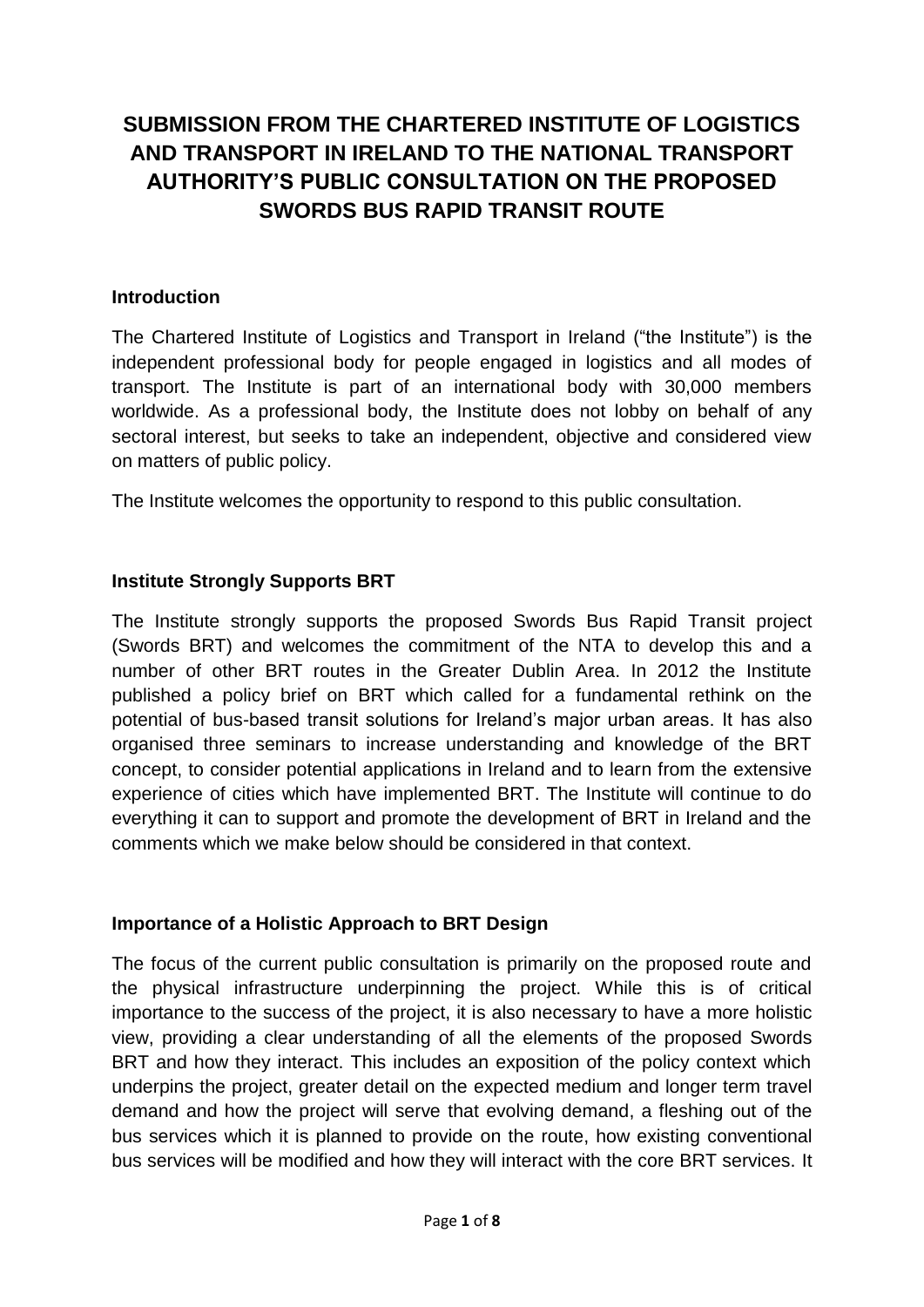# **SUBMISSION FROM THE CHARTERED INSTITUTE OF LOGISTICS AND TRANSPORT IN IRELAND TO THE NATIONAL TRANSPORT AUTHORITY'S PUBLIC CONSULTATION ON THE PROPOSED SWORDS BUS RAPID TRANSIT ROUTE**

#### **Introduction**

The Chartered Institute of Logistics and Transport in Ireland ("the Institute") is the independent professional body for people engaged in logistics and all modes of transport. The Institute is part of an international body with 30,000 members worldwide. As a professional body, the Institute does not lobby on behalf of any sectoral interest, but seeks to take an independent, objective and considered view on matters of public policy.

The Institute welcomes the opportunity to respond to this public consultation.

#### **Institute Strongly Supports BRT**

The Institute strongly supports the proposed Swords Bus Rapid Transit project (Swords BRT) and welcomes the commitment of the NTA to develop this and a number of other BRT routes in the Greater Dublin Area. In 2012 the Institute published a policy brief on BRT which called for a fundamental rethink on the potential of bus-based transit solutions for Ireland's major urban areas. It has also organised three seminars to increase understanding and knowledge of the BRT concept, to consider potential applications in Ireland and to learn from the extensive experience of cities which have implemented BRT. The Institute will continue to do everything it can to support and promote the development of BRT in Ireland and the comments which we make below should be considered in that context.

#### **Importance of a Holistic Approach to BRT Design**

The focus of the current public consultation is primarily on the proposed route and the physical infrastructure underpinning the project. While this is of critical importance to the success of the project, it is also necessary to have a more holistic view, providing a clear understanding of all the elements of the proposed Swords BRT and how they interact. This includes an exposition of the policy context which underpins the project, greater detail on the expected medium and longer term travel demand and how the project will serve that evolving demand, a fleshing out of the bus services which it is planned to provide on the route, how existing conventional bus services will be modified and how they will interact with the core BRT services. It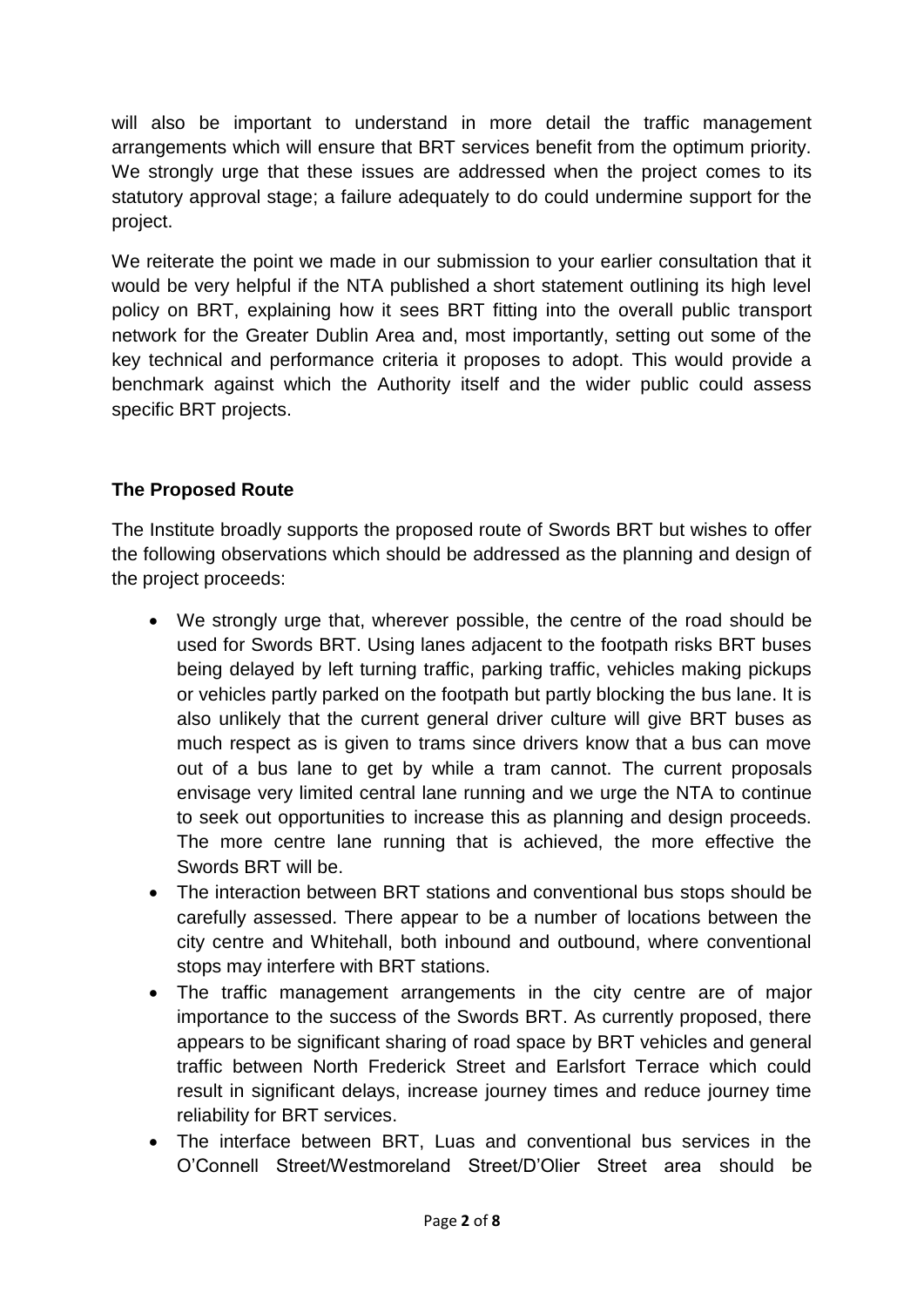will also be important to understand in more detail the traffic management arrangements which will ensure that BRT services benefit from the optimum priority. We strongly urge that these issues are addressed when the project comes to its statutory approval stage; a failure adequately to do could undermine support for the project.

We reiterate the point we made in our submission to your earlier consultation that it would be very helpful if the NTA published a short statement outlining its high level policy on BRT, explaining how it sees BRT fitting into the overall public transport network for the Greater Dublin Area and, most importantly, setting out some of the key technical and performance criteria it proposes to adopt. This would provide a benchmark against which the Authority itself and the wider public could assess specific BRT projects.

# **The Proposed Route**

The Institute broadly supports the proposed route of Swords BRT but wishes to offer the following observations which should be addressed as the planning and design of the project proceeds:

- We strongly urge that, wherever possible, the centre of the road should be used for Swords BRT. Using lanes adjacent to the footpath risks BRT buses being delayed by left turning traffic, parking traffic, vehicles making pickups or vehicles partly parked on the footpath but partly blocking the bus lane. It is also unlikely that the current general driver culture will give BRT buses as much respect as is given to trams since drivers know that a bus can move out of a bus lane to get by while a tram cannot. The current proposals envisage very limited central lane running and we urge the NTA to continue to seek out opportunities to increase this as planning and design proceeds. The more centre lane running that is achieved, the more effective the Swords BRT will be.
- The interaction between BRT stations and conventional bus stops should be carefully assessed. There appear to be a number of locations between the city centre and Whitehall, both inbound and outbound, where conventional stops may interfere with BRT stations.
- The traffic management arrangements in the city centre are of major importance to the success of the Swords BRT. As currently proposed, there appears to be significant sharing of road space by BRT vehicles and general traffic between North Frederick Street and Earlsfort Terrace which could result in significant delays, increase journey times and reduce journey time reliability for BRT services.
- The interface between BRT, Luas and conventional bus services in the O'Connell Street/Westmoreland Street/D'Olier Street area should be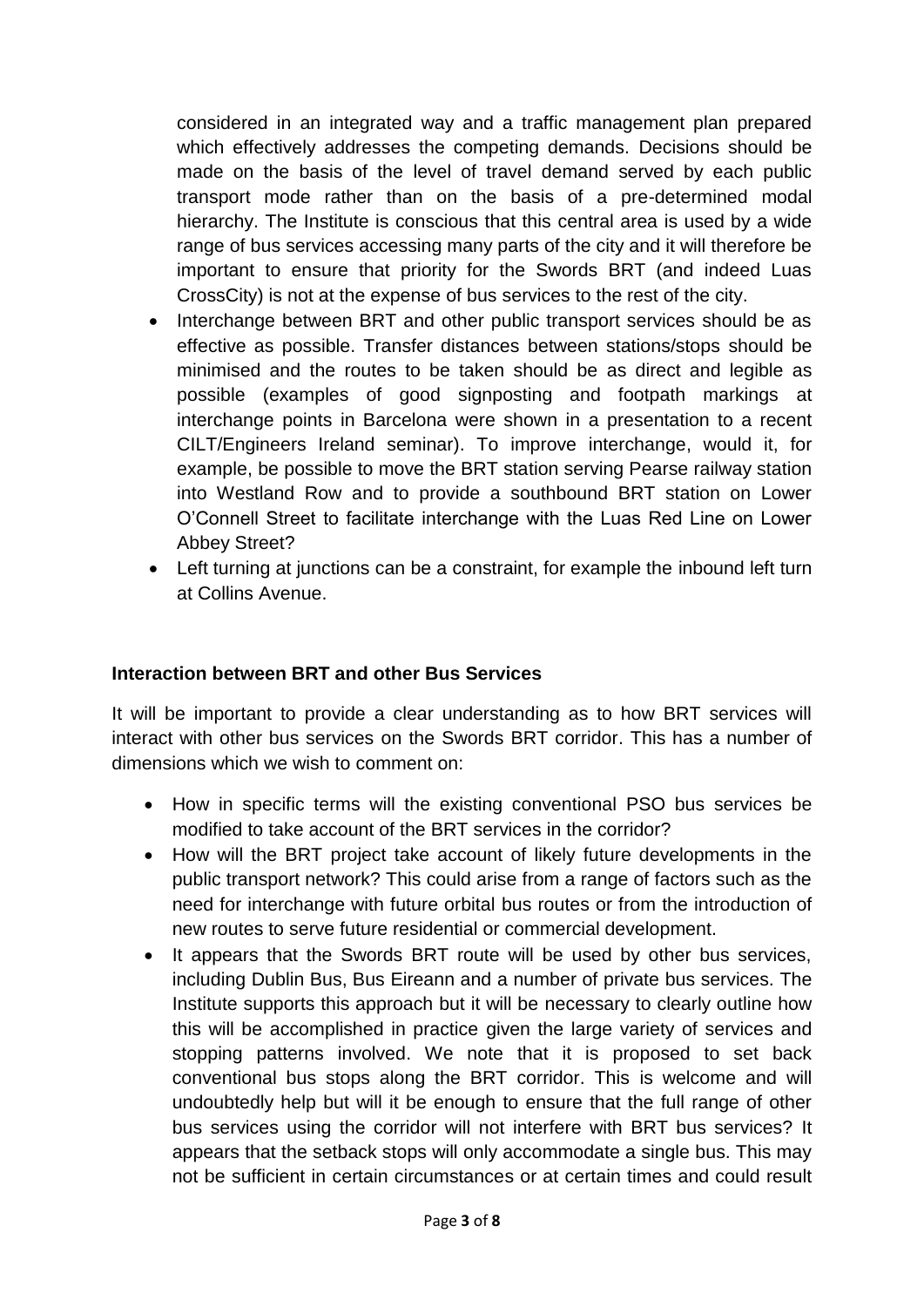considered in an integrated way and a traffic management plan prepared which effectively addresses the competing demands. Decisions should be made on the basis of the level of travel demand served by each public transport mode rather than on the basis of a pre-determined modal hierarchy. The Institute is conscious that this central area is used by a wide range of bus services accessing many parts of the city and it will therefore be important to ensure that priority for the Swords BRT (and indeed Luas CrossCity) is not at the expense of bus services to the rest of the city.

- Interchange between BRT and other public transport services should be as effective as possible. Transfer distances between stations/stops should be minimised and the routes to be taken should be as direct and legible as possible (examples of good signposting and footpath markings at interchange points in Barcelona were shown in a presentation to a recent CILT/Engineers Ireland seminar). To improve interchange, would it, for example, be possible to move the BRT station serving Pearse railway station into Westland Row and to provide a southbound BRT station on Lower O'Connell Street to facilitate interchange with the Luas Red Line on Lower Abbey Street?
- Left turning at junctions can be a constraint, for example the inbound left turn at Collins Avenue.

#### **Interaction between BRT and other Bus Services**

It will be important to provide a clear understanding as to how BRT services will interact with other bus services on the Swords BRT corridor. This has a number of dimensions which we wish to comment on:

- How in specific terms will the existing conventional PSO bus services be modified to take account of the BRT services in the corridor?
- How will the BRT project take account of likely future developments in the public transport network? This could arise from a range of factors such as the need for interchange with future orbital bus routes or from the introduction of new routes to serve future residential or commercial development.
- It appears that the Swords BRT route will be used by other bus services, including Dublin Bus, Bus Eireann and a number of private bus services. The Institute supports this approach but it will be necessary to clearly outline how this will be accomplished in practice given the large variety of services and stopping patterns involved. We note that it is proposed to set back conventional bus stops along the BRT corridor. This is welcome and will undoubtedly help but will it be enough to ensure that the full range of other bus services using the corridor will not interfere with BRT bus services? It appears that the setback stops will only accommodate a single bus. This may not be sufficient in certain circumstances or at certain times and could result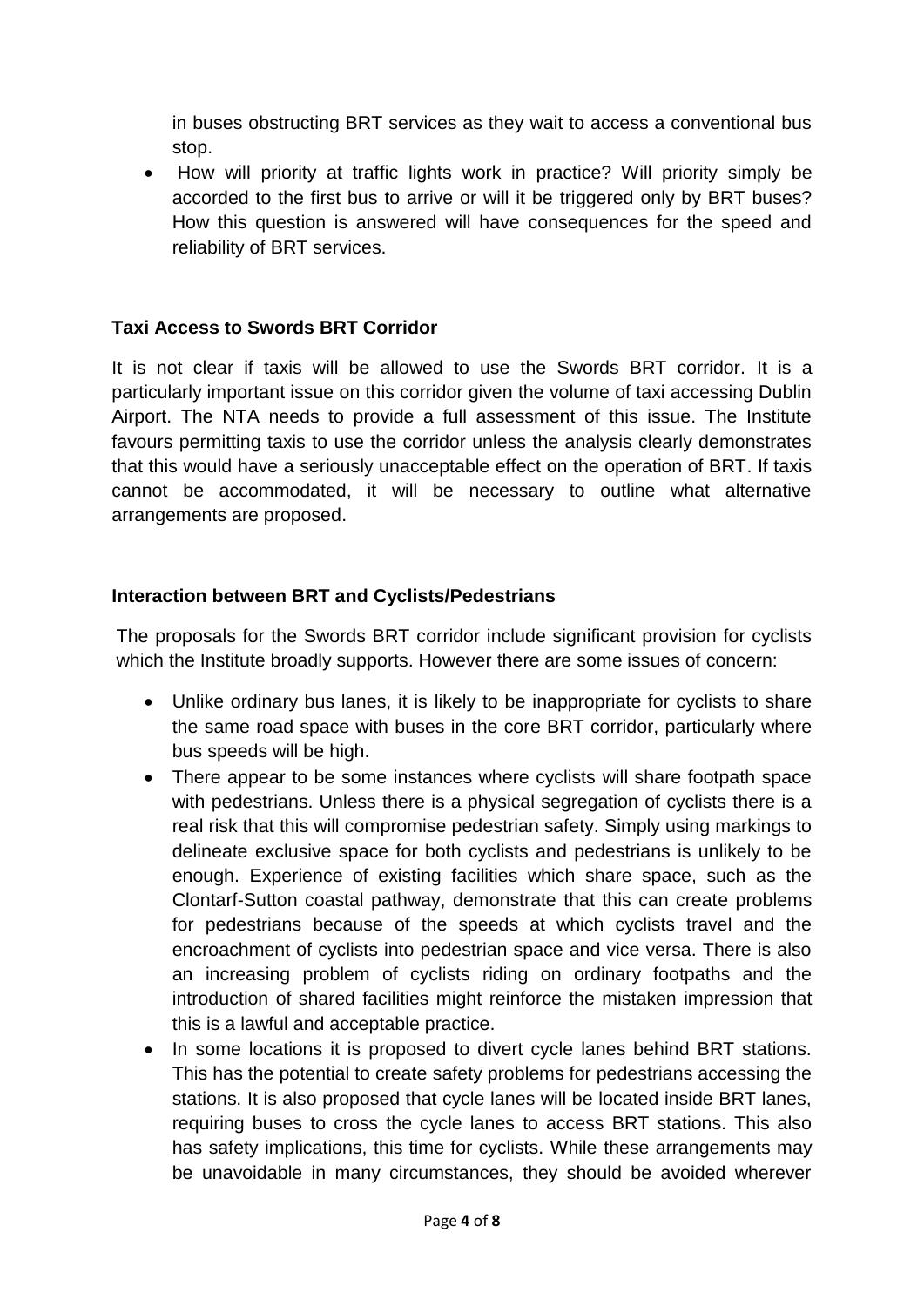in buses obstructing BRT services as they wait to access a conventional bus stop.

• How will priority at traffic lights work in practice? Will priority simply be accorded to the first bus to arrive or will it be triggered only by BRT buses? How this question is answered will have consequences for the speed and reliability of BRT services.

### **Taxi Access to Swords BRT Corridor**

It is not clear if taxis will be allowed to use the Swords BRT corridor. It is a particularly important issue on this corridor given the volume of taxi accessing Dublin Airport. The NTA needs to provide a full assessment of this issue. The Institute favours permitting taxis to use the corridor unless the analysis clearly demonstrates that this would have a seriously unacceptable effect on the operation of BRT. If taxis cannot be accommodated, it will be necessary to outline what alternative arrangements are proposed.

## **Interaction between BRT and Cyclists/Pedestrians**

The proposals for the Swords BRT corridor include significant provision for cyclists which the Institute broadly supports. However there are some issues of concern:

- Unlike ordinary bus lanes, it is likely to be inappropriate for cyclists to share the same road space with buses in the core BRT corridor, particularly where bus speeds will be high.
- There appear to be some instances where cyclists will share footpath space with pedestrians. Unless there is a physical segregation of cyclists there is a real risk that this will compromise pedestrian safety. Simply using markings to delineate exclusive space for both cyclists and pedestrians is unlikely to be enough. Experience of existing facilities which share space, such as the Clontarf-Sutton coastal pathway, demonstrate that this can create problems for pedestrians because of the speeds at which cyclists travel and the encroachment of cyclists into pedestrian space and vice versa. There is also an increasing problem of cyclists riding on ordinary footpaths and the introduction of shared facilities might reinforce the mistaken impression that this is a lawful and acceptable practice.
- In some locations it is proposed to divert cycle lanes behind BRT stations. This has the potential to create safety problems for pedestrians accessing the stations. It is also proposed that cycle lanes will be located inside BRT lanes, requiring buses to cross the cycle lanes to access BRT stations. This also has safety implications, this time for cyclists. While these arrangements may be unavoidable in many circumstances, they should be avoided wherever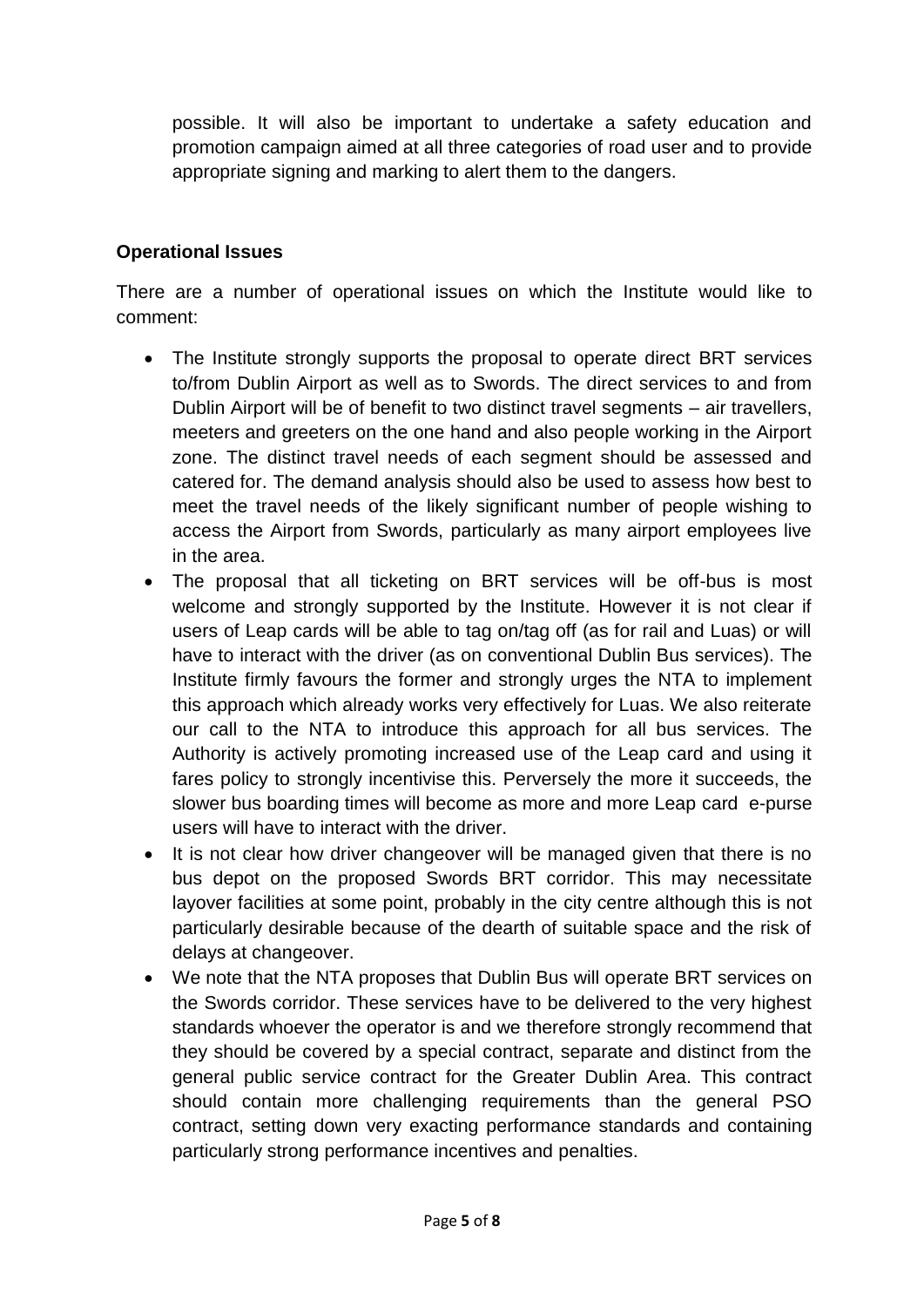possible. It will also be important to undertake a safety education and promotion campaign aimed at all three categories of road user and to provide appropriate signing and marking to alert them to the dangers.

# **Operational Issues**

There are a number of operational issues on which the Institute would like to comment:

- The Institute strongly supports the proposal to operate direct BRT services to/from Dublin Airport as well as to Swords. The direct services to and from Dublin Airport will be of benefit to two distinct travel segments – air travellers, meeters and greeters on the one hand and also people working in the Airport zone. The distinct travel needs of each segment should be assessed and catered for. The demand analysis should also be used to assess how best to meet the travel needs of the likely significant number of people wishing to access the Airport from Swords, particularly as many airport employees live in the area.
- The proposal that all ticketing on BRT services will be off-bus is most welcome and strongly supported by the Institute. However it is not clear if users of Leap cards will be able to tag on/tag off (as for rail and Luas) or will have to interact with the driver (as on conventional Dublin Bus services). The Institute firmly favours the former and strongly urges the NTA to implement this approach which already works very effectively for Luas. We also reiterate our call to the NTA to introduce this approach for all bus services. The Authority is actively promoting increased use of the Leap card and using it fares policy to strongly incentivise this. Perversely the more it succeeds, the slower bus boarding times will become as more and more Leap card e-purse users will have to interact with the driver.
- It is not clear how driver changeover will be managed given that there is no bus depot on the proposed Swords BRT corridor. This may necessitate layover facilities at some point, probably in the city centre although this is not particularly desirable because of the dearth of suitable space and the risk of delays at changeover.
- We note that the NTA proposes that Dublin Bus will operate BRT services on the Swords corridor. These services have to be delivered to the very highest standards whoever the operator is and we therefore strongly recommend that they should be covered by a special contract, separate and distinct from the general public service contract for the Greater Dublin Area. This contract should contain more challenging requirements than the general PSO contract, setting down very exacting performance standards and containing particularly strong performance incentives and penalties.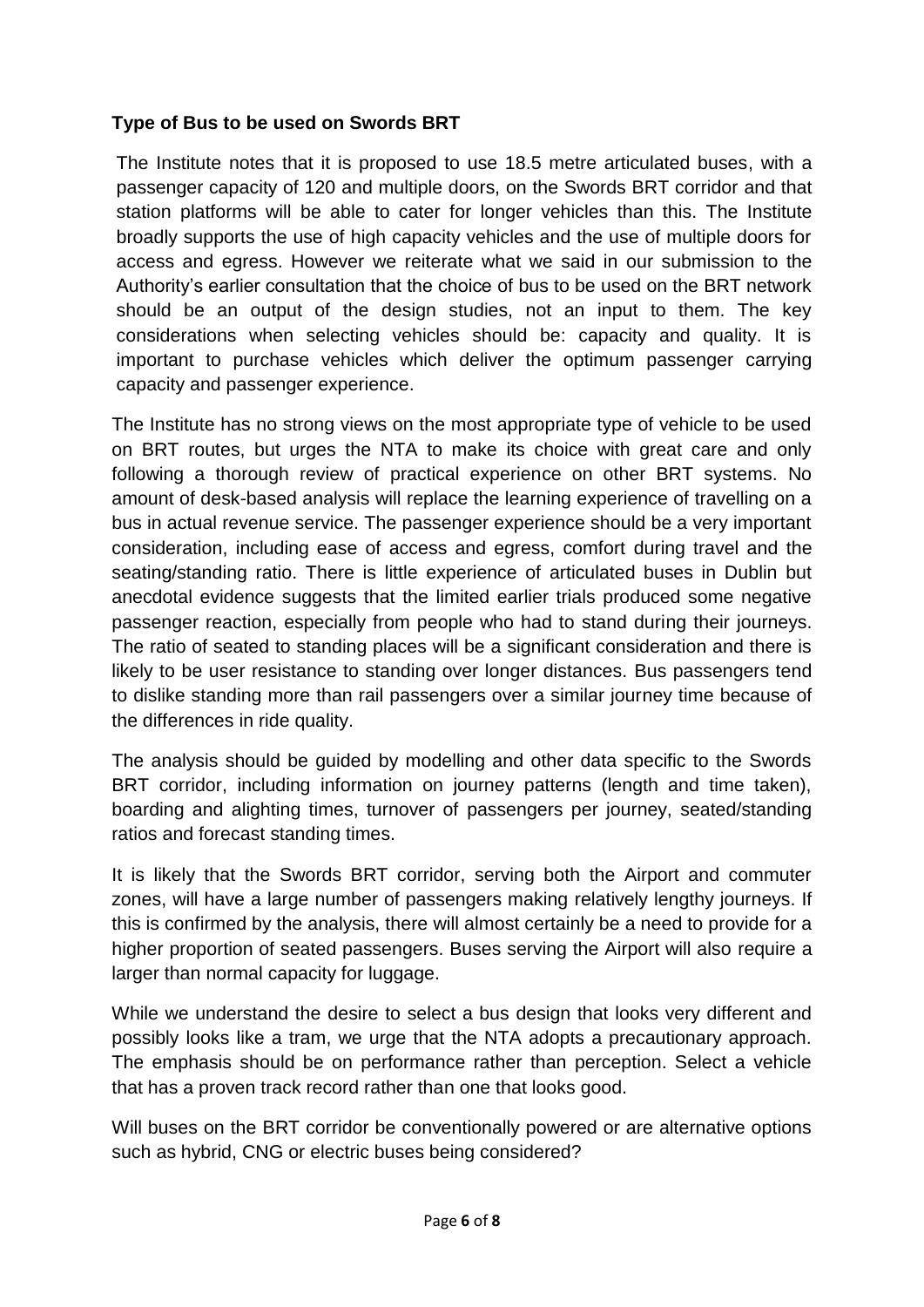# **Type of Bus to be used on Swords BRT**

The Institute notes that it is proposed to use 18.5 metre articulated buses, with a passenger capacity of 120 and multiple doors, on the Swords BRT corridor and that station platforms will be able to cater for longer vehicles than this. The Institute broadly supports the use of high capacity vehicles and the use of multiple doors for access and egress. However we reiterate what we said in our submission to the Authority's earlier consultation that the choice of bus to be used on the BRT network should be an output of the design studies, not an input to them. The key considerations when selecting vehicles should be: capacity and quality. It is important to purchase vehicles which deliver the optimum passenger carrying capacity and passenger experience.

The Institute has no strong views on the most appropriate type of vehicle to be used on BRT routes, but urges the NTA to make its choice with great care and only following a thorough review of practical experience on other BRT systems. No amount of desk-based analysis will replace the learning experience of travelling on a bus in actual revenue service. The passenger experience should be a very important consideration, including ease of access and egress, comfort during travel and the seating/standing ratio. There is little experience of articulated buses in Dublin but anecdotal evidence suggests that the limited earlier trials produced some negative passenger reaction, especially from people who had to stand during their journeys. The ratio of seated to standing places will be a significant consideration and there is likely to be user resistance to standing over longer distances. Bus passengers tend to dislike standing more than rail passengers over a similar journey time because of the differences in ride quality.

The analysis should be guided by modelling and other data specific to the Swords BRT corridor, including information on journey patterns (length and time taken), boarding and alighting times, turnover of passengers per journey, seated/standing ratios and forecast standing times.

It is likely that the Swords BRT corridor, serving both the Airport and commuter zones, will have a large number of passengers making relatively lengthy journeys. If this is confirmed by the analysis, there will almost certainly be a need to provide for a higher proportion of seated passengers. Buses serving the Airport will also require a larger than normal capacity for luggage.

While we understand the desire to select a bus design that looks very different and possibly looks like a tram, we urge that the NTA adopts a precautionary approach. The emphasis should be on performance rather than perception. Select a vehicle that has a proven track record rather than one that looks good.

Will buses on the BRT corridor be conventionally powered or are alternative options such as hybrid, CNG or electric buses being considered?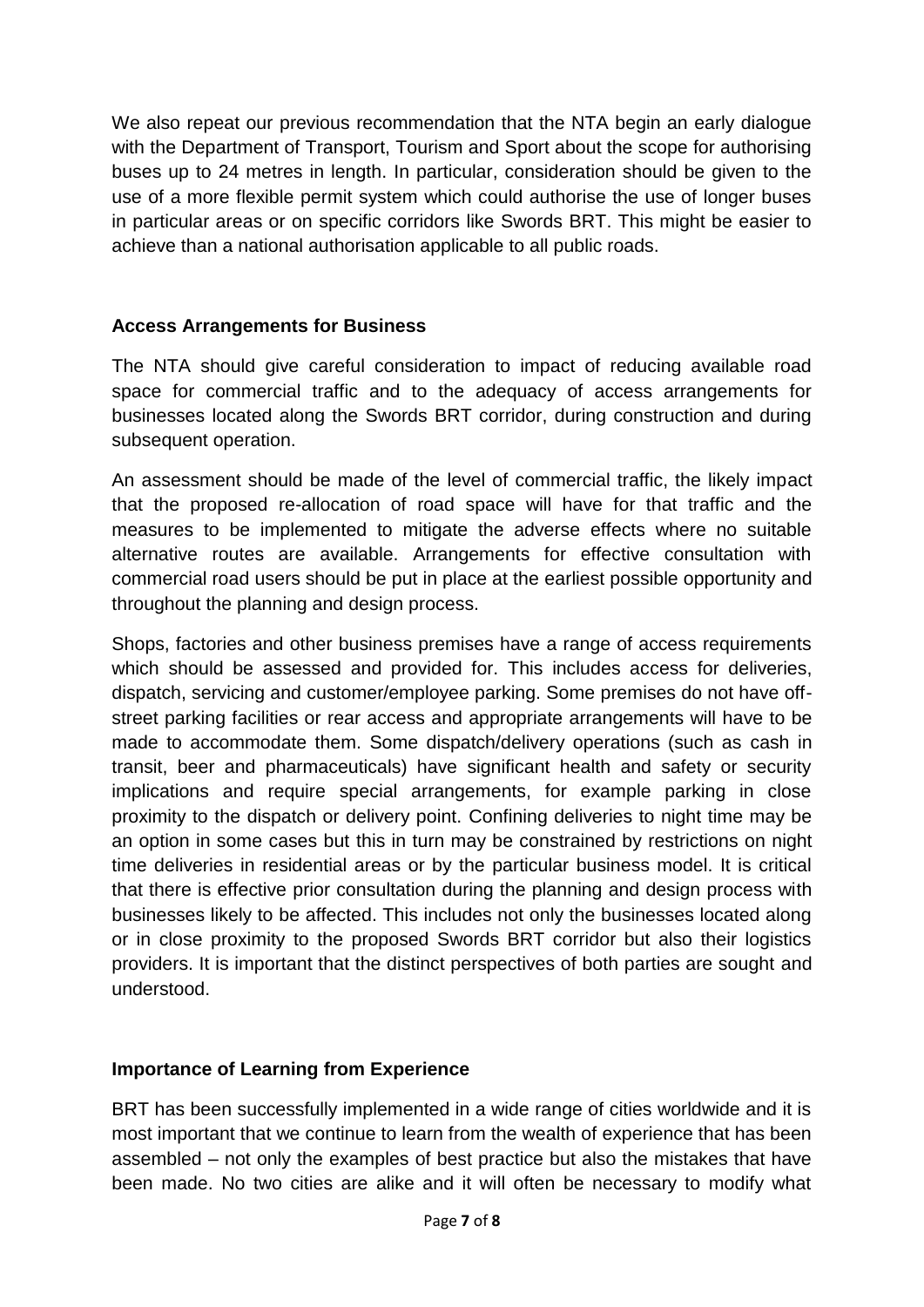We also repeat our previous recommendation that the NTA begin an early dialogue with the Department of Transport, Tourism and Sport about the scope for authorising buses up to 24 metres in length. In particular, consideration should be given to the use of a more flexible permit system which could authorise the use of longer buses in particular areas or on specific corridors like Swords BRT. This might be easier to achieve than a national authorisation applicable to all public roads.

# **Access Arrangements for Business**

The NTA should give careful consideration to impact of reducing available road space for commercial traffic and to the adequacy of access arrangements for businesses located along the Swords BRT corridor, during construction and during subsequent operation.

An assessment should be made of the level of commercial traffic, the likely impact that the proposed re-allocation of road space will have for that traffic and the measures to be implemented to mitigate the adverse effects where no suitable alternative routes are available. Arrangements for effective consultation with commercial road users should be put in place at the earliest possible opportunity and throughout the planning and design process.

Shops, factories and other business premises have a range of access requirements which should be assessed and provided for. This includes access for deliveries, dispatch, servicing and customer/employee parking. Some premises do not have offstreet parking facilities or rear access and appropriate arrangements will have to be made to accommodate them. Some dispatch/delivery operations (such as cash in transit, beer and pharmaceuticals) have significant health and safety or security implications and require special arrangements, for example parking in close proximity to the dispatch or delivery point. Confining deliveries to night time may be an option in some cases but this in turn may be constrained by restrictions on night time deliveries in residential areas or by the particular business model. It is critical that there is effective prior consultation during the planning and design process with businesses likely to be affected. This includes not only the businesses located along or in close proximity to the proposed Swords BRT corridor but also their logistics providers. It is important that the distinct perspectives of both parties are sought and understood.

# **Importance of Learning from Experience**

BRT has been successfully implemented in a wide range of cities worldwide and it is most important that we continue to learn from the wealth of experience that has been assembled – not only the examples of best practice but also the mistakes that have been made. No two cities are alike and it will often be necessary to modify what